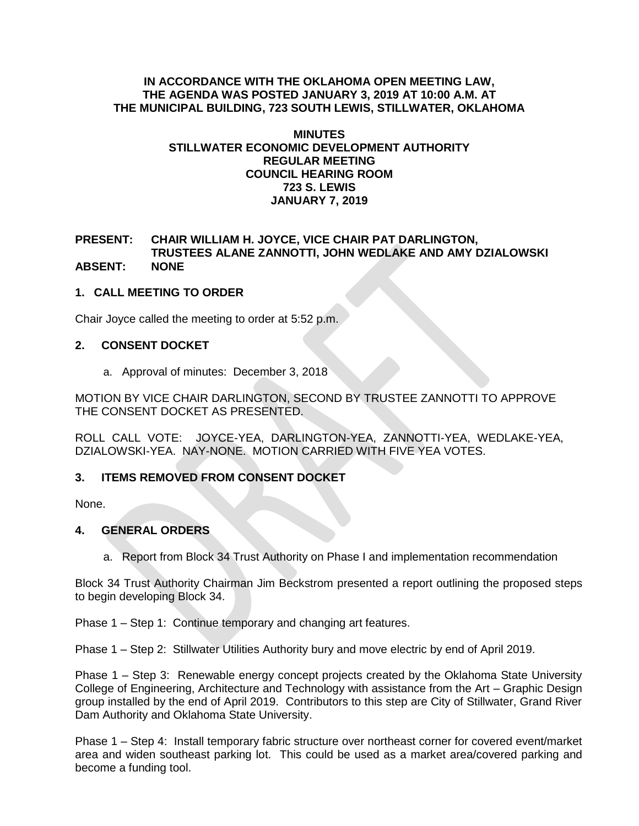#### **IN ACCORDANCE WITH THE OKLAHOMA OPEN MEETING LAW, THE AGENDA WAS POSTED JANUARY 3, 2019 AT 10:00 A.M. AT THE MUNICIPAL BUILDING, 723 SOUTH LEWIS, STILLWATER, OKLAHOMA**

#### **MINUTES STILLWATER ECONOMIC DEVELOPMENT AUTHORITY REGULAR MEETING COUNCIL HEARING ROOM 723 S. LEWIS JANUARY 7, 2019**

#### **PRESENT: CHAIR WILLIAM H. JOYCE, VICE CHAIR PAT DARLINGTON, TRUSTEES ALANE ZANNOTTI, JOHN WEDLAKE AND AMY DZIALOWSKI ABSENT: NONE**

# **1. CALL MEETING TO ORDER**

Chair Joyce called the meeting to order at 5:52 p.m.

# **2. CONSENT DOCKET**

a. Approval of minutes: December 3, 2018

MOTION BY VICE CHAIR DARLINGTON, SECOND BY TRUSTEE ZANNOTTI TO APPROVE THE CONSENT DOCKET AS PRESENTED.

ROLL CALL VOTE: JOYCE-YEA, DARLINGTON-YEA, ZANNOTTI-YEA, WEDLAKE-YEA, DZIALOWSKI-YEA. NAY-NONE. MOTION CARRIED WITH FIVE YEA VOTES.

# **3. ITEMS REMOVED FROM CONSENT DOCKET**

None.

# **4. GENERAL ORDERS**

a. Report from Block 34 Trust Authority on Phase I and implementation recommendation

Block 34 Trust Authority Chairman Jim Beckstrom presented a report outlining the proposed steps to begin developing Block 34.

Phase 1 – Step 1: Continue temporary and changing art features.

Phase 1 – Step 2: Stillwater Utilities Authority bury and move electric by end of April 2019.

Phase 1 – Step 3: Renewable energy concept projects created by the Oklahoma State University College of Engineering, Architecture and Technology with assistance from the Art – Graphic Design group installed by the end of April 2019. Contributors to this step are City of Stillwater, Grand River Dam Authority and Oklahoma State University.

Phase 1 – Step 4: Install temporary fabric structure over northeast corner for covered event/market area and widen southeast parking lot. This could be used as a market area/covered parking and become a funding tool.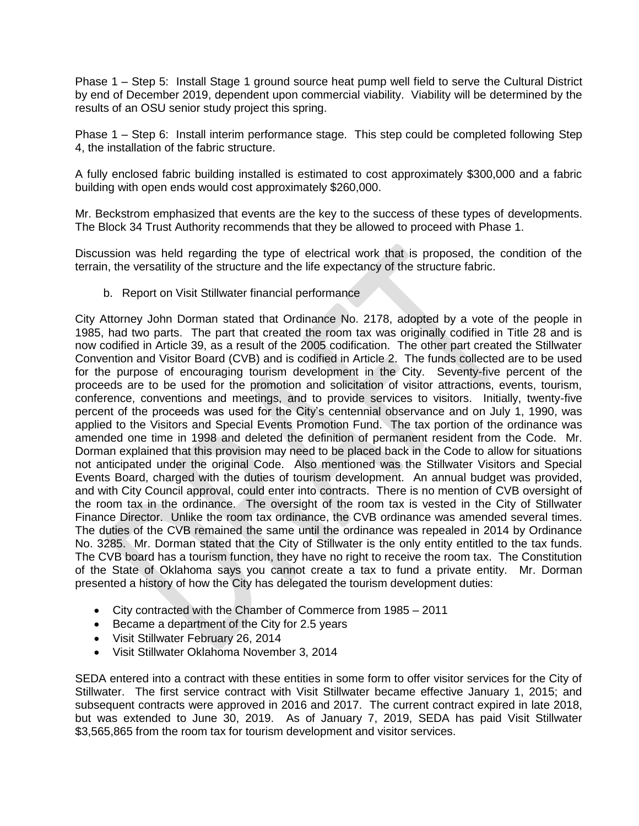Phase 1 – Step 5: Install Stage 1 ground source heat pump well field to serve the Cultural District by end of December 2019, dependent upon commercial viability. Viability will be determined by the results of an OSU senior study project this spring.

Phase 1 – Step 6: Install interim performance stage. This step could be completed following Step 4, the installation of the fabric structure.

A fully enclosed fabric building installed is estimated to cost approximately \$300,000 and a fabric building with open ends would cost approximately \$260,000.

Mr. Beckstrom emphasized that events are the key to the success of these types of developments. The Block 34 Trust Authority recommends that they be allowed to proceed with Phase 1.

Discussion was held regarding the type of electrical work that is proposed, the condition of the terrain, the versatility of the structure and the life expectancy of the structure fabric.

b. Report on Visit Stillwater financial performance

City Attorney John Dorman stated that Ordinance No. 2178, adopted by a vote of the people in 1985, had two parts. The part that created the room tax was originally codified in Title 28 and is now codified in Article 39, as a result of the 2005 codification. The other part created the Stillwater Convention and Visitor Board (CVB) and is codified in Article 2. The funds collected are to be used for the purpose of encouraging tourism development in the City. Seventy-five percent of the proceeds are to be used for the promotion and solicitation of visitor attractions, events, tourism, conference, conventions and meetings, and to provide services to visitors. Initially, twenty-five percent of the proceeds was used for the City's centennial observance and on July 1, 1990, was applied to the Visitors and Special Events Promotion Fund. The tax portion of the ordinance was amended one time in 1998 and deleted the definition of permanent resident from the Code. Mr. Dorman explained that this provision may need to be placed back in the Code to allow for situations not anticipated under the original Code. Also mentioned was the Stillwater Visitors and Special Events Board, charged with the duties of tourism development. An annual budget was provided, and with City Council approval, could enter into contracts. There is no mention of CVB oversight of the room tax in the ordinance. The oversight of the room tax is vested in the City of Stillwater Finance Director. Unlike the room tax ordinance, the CVB ordinance was amended several times. The duties of the CVB remained the same until the ordinance was repealed in 2014 by Ordinance No. 3285. Mr. Dorman stated that the City of Stillwater is the only entity entitled to the tax funds. The CVB board has a tourism function, they have no right to receive the room tax. The Constitution of the State of Oklahoma says you cannot create a tax to fund a private entity. Mr. Dorman presented a history of how the City has delegated the tourism development duties:

- City contracted with the Chamber of Commerce from 1985 2011
- Became a department of the City for 2.5 years
- Visit Stillwater February 26, 2014
- Visit Stillwater Oklahoma November 3, 2014

SEDA entered into a contract with these entities in some form to offer visitor services for the City of Stillwater. The first service contract with Visit Stillwater became effective January 1, 2015; and subsequent contracts were approved in 2016 and 2017. The current contract expired in late 2018, but was extended to June 30, 2019. As of January 7, 2019, SEDA has paid Visit Stillwater \$3,565,865 from the room tax for tourism development and visitor services.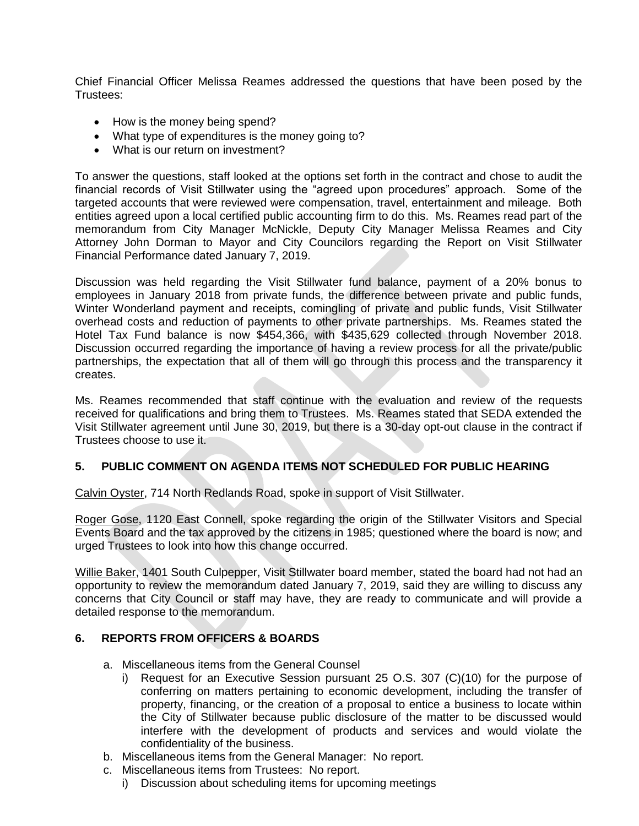Chief Financial Officer Melissa Reames addressed the questions that have been posed by the Trustees:

- How is the money being spend?
- What type of expenditures is the money going to?
- What is our return on investment?

To answer the questions, staff looked at the options set forth in the contract and chose to audit the financial records of Visit Stillwater using the "agreed upon procedures" approach. Some of the targeted accounts that were reviewed were compensation, travel, entertainment and mileage. Both entities agreed upon a local certified public accounting firm to do this. Ms. Reames read part of the memorandum from City Manager McNickle, Deputy City Manager Melissa Reames and City Attorney John Dorman to Mayor and City Councilors regarding the Report on Visit Stillwater Financial Performance dated January 7, 2019.

Discussion was held regarding the Visit Stillwater fund balance, payment of a 20% bonus to employees in January 2018 from private funds, the difference between private and public funds, Winter Wonderland payment and receipts, comingling of private and public funds, Visit Stillwater overhead costs and reduction of payments to other private partnerships. Ms. Reames stated the Hotel Tax Fund balance is now \$454,366, with \$435,629 collected through November 2018. Discussion occurred regarding the importance of having a review process for all the private/public partnerships, the expectation that all of them will go through this process and the transparency it creates.

Ms. Reames recommended that staff continue with the evaluation and review of the requests received for qualifications and bring them to Trustees. Ms. Reames stated that SEDA extended the Visit Stillwater agreement until June 30, 2019, but there is a 30-day opt-out clause in the contract if Trustees choose to use it.

# **5. PUBLIC COMMENT ON AGENDA ITEMS NOT SCHEDULED FOR PUBLIC HEARING**

Calvin Oyster, 714 North Redlands Road, spoke in support of Visit Stillwater.

Roger Gose, 1120 East Connell, spoke regarding the origin of the Stillwater Visitors and Special Events Board and the tax approved by the citizens in 1985; questioned where the board is now; and urged Trustees to look into how this change occurred.

Willie Baker, 1401 South Culpepper, Visit Stillwater board member, stated the board had not had an opportunity to review the memorandum dated January 7, 2019, said they are willing to discuss any concerns that City Council or staff may have, they are ready to communicate and will provide a detailed response to the memorandum.

# **6. REPORTS FROM OFFICERS & BOARDS**

- a. Miscellaneous items from the General Counsel
	- i) Request for an Executive Session pursuant 25 O.S. 307 (C)(10) for the purpose of conferring on matters pertaining to economic development, including the transfer of property, financing, or the creation of a proposal to entice a business to locate within the City of Stillwater because public disclosure of the matter to be discussed would interfere with the development of products and services and would violate the confidentiality of the business.
- b. Miscellaneous items from the General Manager: No report.
- c. Miscellaneous items from Trustees: No report.
	- i) Discussion about scheduling items for upcoming meetings